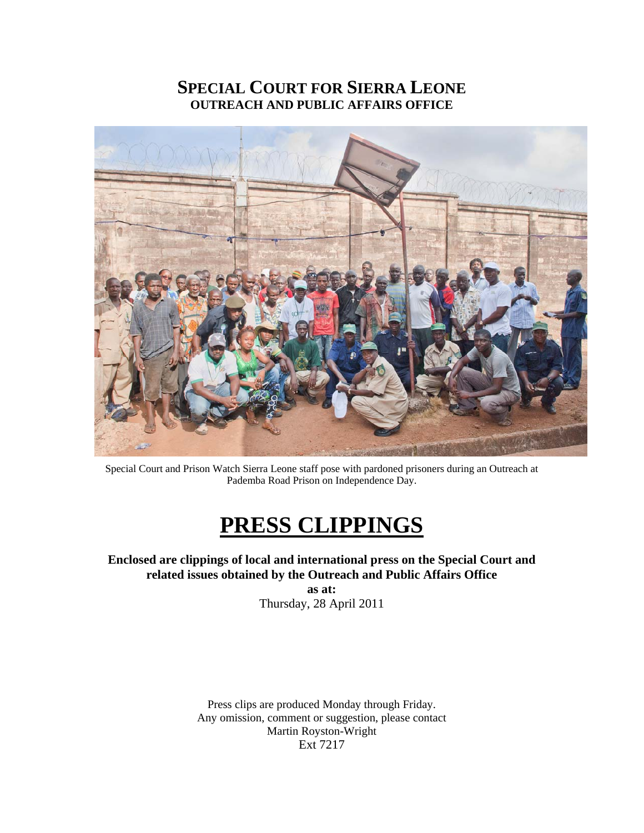# **SPECIAL COURT FOR SIERRA LEONE OUTREACH AND PUBLIC AFFAIRS OFFICE**



Special Court and Prison Watch Sierra Leone staff pose with pardoned prisoners during an Outreach at Pademba Road Prison on Independence Day.

# **PRESS CLIPPINGS**

## **Enclosed are clippings of local and international press on the Special Court and related issues obtained by the Outreach and Public Affairs Office**

**as at:**  Thursday, 28 April 2011

Press clips are produced Monday through Friday. Any omission, comment or suggestion, please contact Martin Royston-Wright Ext 7217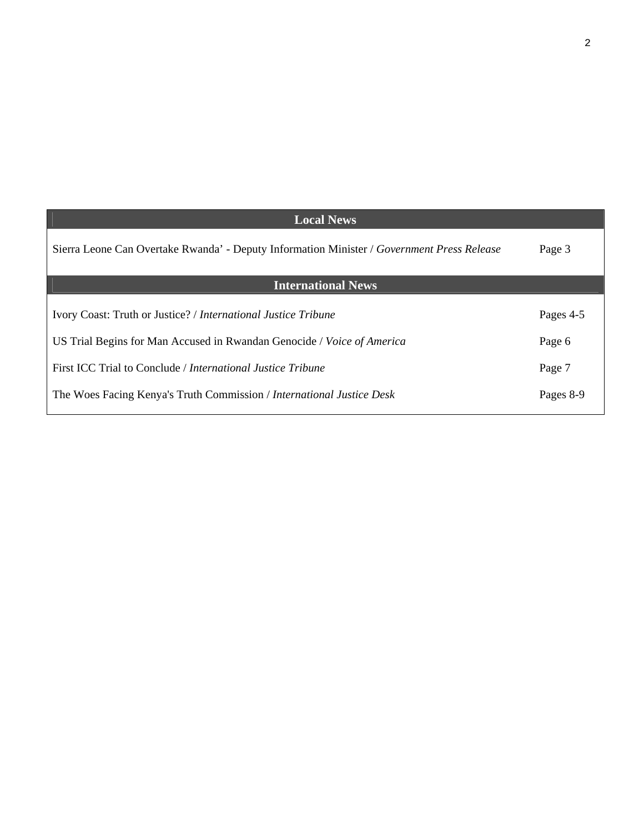| <b>Local News</b>                                                                          |           |
|--------------------------------------------------------------------------------------------|-----------|
| Sierra Leone Can Overtake Rwanda' - Deputy Information Minister / Government Press Release | Page 3    |
| <b>International News</b>                                                                  |           |
| Ivory Coast: Truth or Justice? / International Justice Tribune                             | Pages 4-5 |
| US Trial Begins for Man Accused in Rwandan Genocide / Voice of America                     | Page 6    |
| First ICC Trial to Conclude / <i>International Justice Tribune</i>                         | Page 7    |
| The Woes Facing Kenya's Truth Commission / International Justice Desk                      | Pages 8-9 |

2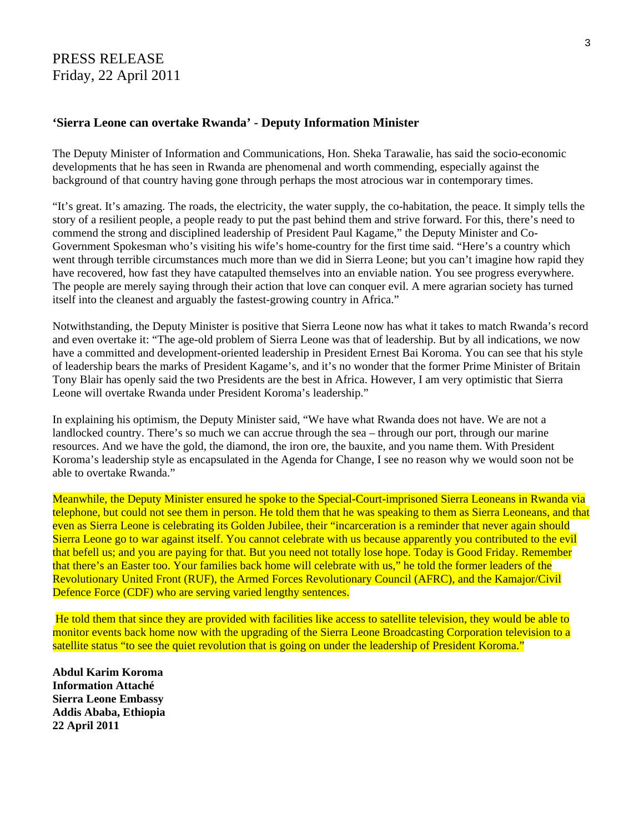## PRESS RELEASE Friday, 22 April 2011

### **'Sierra Leone can overtake Rwanda' - Deputy Information Minister**

The Deputy Minister of Information and Communications, Hon. Sheka Tarawalie, has said the socio-economic developments that he has seen in Rwanda are phenomenal and worth commending, especially against the background of that country having gone through perhaps the most atrocious war in contemporary times.

"It's great. It's amazing. The roads, the electricity, the water supply, the co-habitation, the peace. It simply tells the story of a resilient people, a people ready to put the past behind them and strive forward. For this, there's need to commend the strong and disciplined leadership of President Paul Kagame," the Deputy Minister and Co-Government Spokesman who's visiting his wife's home-country for the first time said. "Here's a country which went through terrible circumstances much more than we did in Sierra Leone; but you can't imagine how rapid they have recovered, how fast they have catapulted themselves into an enviable nation. You see progress everywhere. The people are merely saying through their action that love can conquer evil. A mere agrarian society has turned itself into the cleanest and arguably the fastest-growing country in Africa."

Notwithstanding, the Deputy Minister is positive that Sierra Leone now has what it takes to match Rwanda's record and even overtake it: "The age-old problem of Sierra Leone was that of leadership. But by all indications, we now have a committed and development-oriented leadership in President Ernest Bai Koroma. You can see that his style of leadership bears the marks of President Kagame's, and it's no wonder that the former Prime Minister of Britain Tony Blair has openly said the two Presidents are the best in Africa. However, I am very optimistic that Sierra Leone will overtake Rwanda under President Koroma's leadership."

In explaining his optimism, the Deputy Minister said, "We have what Rwanda does not have. We are not a landlocked country. There's so much we can accrue through the sea – through our port, through our marine resources. And we have the gold, the diamond, the iron ore, the bauxite, and you name them. With President Koroma's leadership style as encapsulated in the Agenda for Change, I see no reason why we would soon not be able to overtake Rwanda."

Meanwhile, the Deputy Minister ensured he spoke to the Special-Court-imprisoned Sierra Leoneans in Rwanda via telephone, but could not see them in person. He told them that he was speaking to them as Sierra Leoneans, and that even as Sierra Leone is celebrating its Golden Jubilee, their "incarceration is a reminder that never again should Sierra Leone go to war against itself. You cannot celebrate with us because apparently you contributed to the evil that befell us; and you are paying for that. But you need not totally lose hope. Today is Good Friday. Remember that there's an Easter too. Your families back home will celebrate with us," he told the former leaders of the Revolutionary United Front (RUF), the Armed Forces Revolutionary Council (AFRC), and the Kamajor/Civil Defence Force (CDF) who are serving varied lengthy sentences.

 He told them that since they are provided with facilities like access to satellite television, they would be able to monitor events back home now with the upgrading of the Sierra Leone Broadcasting Corporation television to a satellite status "to see the quiet revolution that is going on under the leadership of President Koroma."

**Abdul Karim Koroma Information Attaché Sierra Leone Embassy Addis Ababa, Ethiopia 22 April 2011**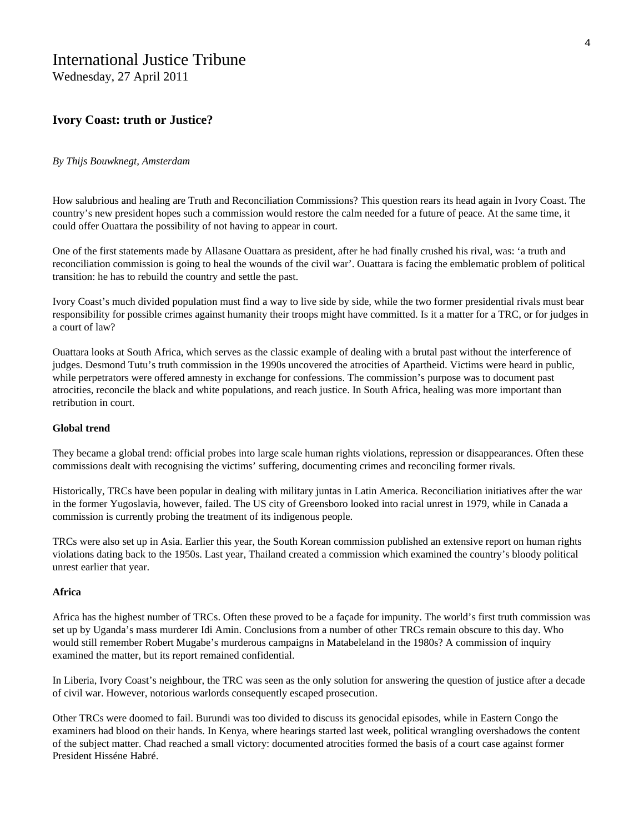# International Justice Tribune

Wednesday, 27 April 2011

## **Ivory Coast: truth or Justice?**

#### *By Thijs Bouwknegt, Amsterdam*

How salubrious and healing are Truth and Reconciliation Commissions? This question rears its head again in Ivory Coast. The country's new president hopes such a commission would restore the calm needed for a future of peace. At the same time, it could offer Ouattara the possibility of not having to appear in court.

One of the first statements made by Allasane Ouattara as president, after he had finally crushed his rival, was: 'a truth and reconciliation commission is going to heal the wounds of the civil war'. Ouattara is facing the emblematic problem of political transition: he has to rebuild the country and settle the past.

Ivory Coast's much divided population must find a way to live side by side, while the two former presidential rivals must bear responsibility for possible crimes against humanity their troops might have committed. Is it a matter for a TRC, or for judges in a court of law?

Ouattara looks at South Africa, which serves as the classic example of dealing with a brutal past without the interference of judges. Desmond Tutu's truth commission in the 1990s uncovered the atrocities of Apartheid. Victims were heard in public, while perpetrators were offered amnesty in exchange for confessions. The commission's purpose was to document past atrocities, reconcile the black and white populations, and reach justice. In South Africa, healing was more important than retribution in court.

#### **Global trend**

They became a global trend: official probes into large scale human rights violations, repression or disappearances. Often these commissions dealt with recognising the victims' suffering, documenting crimes and reconciling former rivals.

Historically, TRCs have been popular in dealing with military juntas in Latin America. Reconciliation initiatives after the war in the former Yugoslavia, however, failed. The US city of Greensboro looked into racial unrest in 1979, while in Canada a commission is currently probing the treatment of its indigenous people.

TRCs were also set up in Asia. Earlier this year, the South Korean commission published an extensive report on human rights violations dating back to the 1950s. Last year, Thailand created a commission which examined the country's bloody political unrest earlier that year.

#### **Africa**

Africa has the highest number of TRCs. Often these proved to be a façade for impunity. The world's first truth commission was set up by Uganda's mass murderer Idi Amin. Conclusions from a number of other TRCs remain obscure to this day. Who would still remember Robert Mugabe's murderous campaigns in Matabeleland in the 1980s? A commission of inquiry examined the matter, but its report remained confidential.

In Liberia, Ivory Coast's neighbour, the TRC was seen as the only solution for answering the question of justice after a decade of civil war. However, notorious warlords consequently escaped prosecution.

Other TRCs were doomed to fail. Burundi was too divided to discuss its genocidal episodes, while in Eastern Congo the examiners had blood on their hands. In Kenya, where hearings started last week, political wrangling overshadows the content of the subject matter. Chad reached a small victory: documented atrocities formed the basis of a court case against former President Hisséne Habré.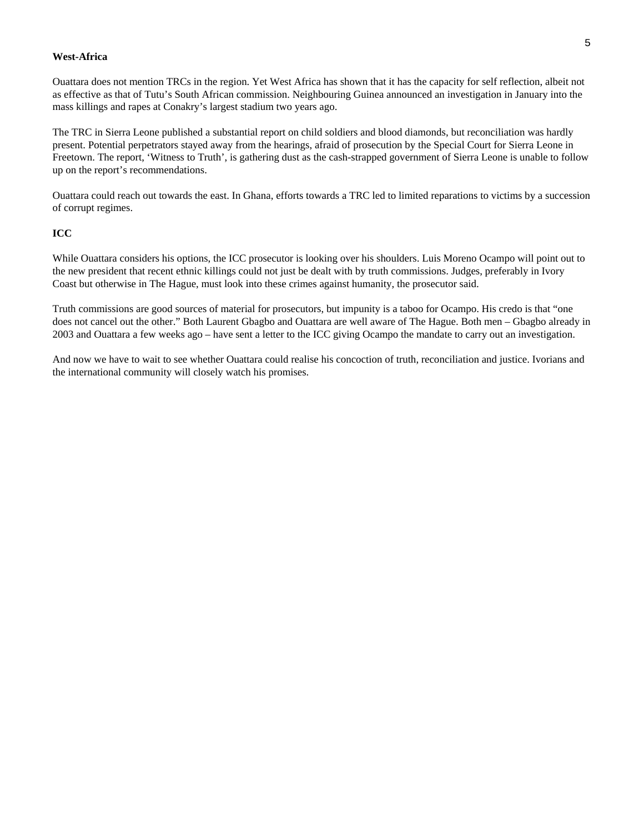#### **West-Africa**

Ouattara does not mention TRCs in the region. Yet West Africa has shown that it has the capacity for self reflection, albeit not as effective as that of Tutu's South African commission. Neighbouring Guinea announced an investigation in January into the mass killings and rapes at Conakry's largest stadium two years ago.

The TRC in Sierra Leone published a substantial report on child soldiers and blood diamonds, but reconciliation was hardly present. Potential perpetrators stayed away from the hearings, afraid of prosecution by the Special Court for Sierra Leone in Freetown. The report, 'Witness to Truth', is gathering dust as the cash-strapped government of Sierra Leone is unable to follow up on the report's recommendations.

Ouattara could reach out towards the east. In Ghana, efforts towards a TRC led to limited reparations to victims by a succession of corrupt regimes.

#### **ICC**

While Ouattara considers his options, the ICC prosecutor is looking over his shoulders. Luis Moreno Ocampo will point out to the new president that recent ethnic killings could not just be dealt with by truth commissions. Judges, preferably in Ivory Coast but otherwise in The Hague, must look into these crimes against humanity, the prosecutor said.

Truth commissions are good sources of material for prosecutors, but impunity is a taboo for Ocampo. His credo is that "one does not cancel out the other." Both Laurent Gbagbo and Ouattara are well aware of The Hague. Both men – Gbagbo already in 2003 and Ouattara a few weeks ago – have sent a letter to the ICC giving Ocampo the mandate to carry out an investigation.

And now we have to wait to see whether Ouattara could realise his concoction of truth, reconciliation and justice. Ivorians and the international community will closely watch his promises.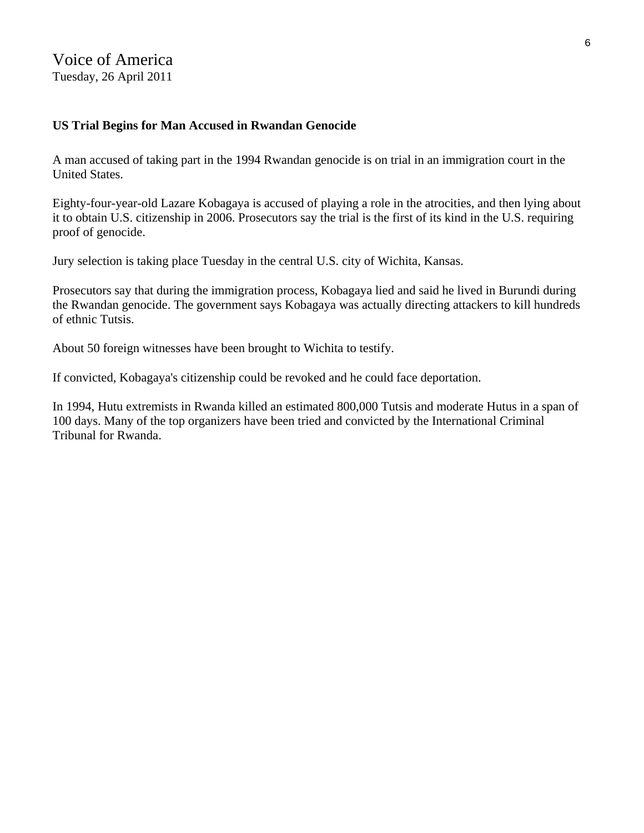Voice of America Tuesday, 26 April 2011

## **US Trial Begins for Man Accused in Rwandan Genocide**

A man accused of taking part in the 1994 Rwandan genocide is on trial in an immigration court in the United States.

Eighty-four-year-old Lazare Kobagaya is accused of playing a role in the atrocities, and then lying about it to obtain U.S. citizenship in 2006. Prosecutors say the trial is the first of its kind in the U.S. requiring proof of genocide.

Jury selection is taking place Tuesday in the central U.S. city of Wichita, Kansas.

Prosecutors say that during the immigration process, Kobagaya lied and said he lived in Burundi during the Rwandan genocide. The government says Kobagaya was actually directing attackers to kill hundreds of ethnic Tutsis.

About 50 foreign witnesses have been brought to Wichita to testify.

If convicted, Kobagaya's citizenship could be revoked and he could face deportation.

In 1994, Hutu extremists in Rwanda killed an estimated 800,000 Tutsis and moderate Hutus in a span of 100 days. Many of the top organizers have been tried and convicted by the International Criminal Tribunal for Rwanda.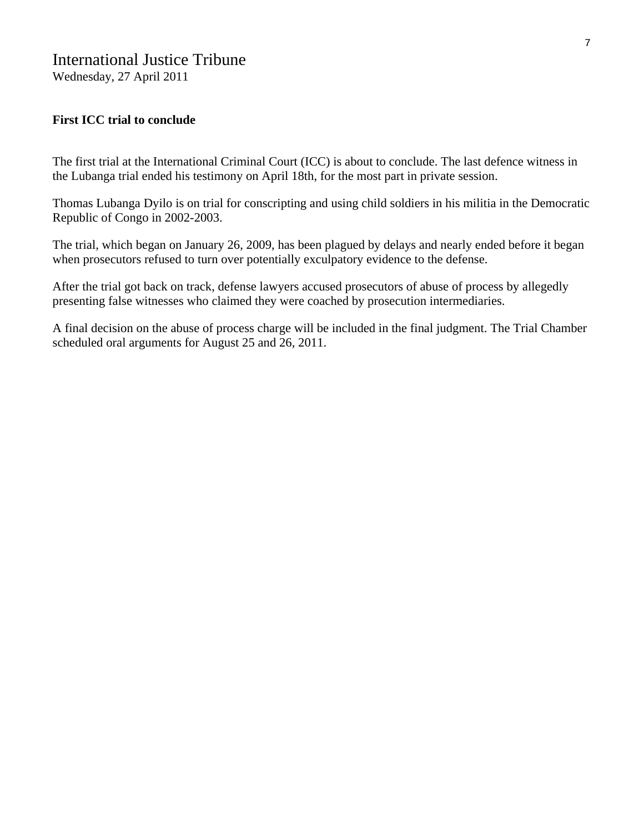## International Justice Tribune

Wednesday, 27 April 2011

## **First ICC trial to conclude**

The first trial at the International Criminal Court (ICC) is about to conclude. The last defence witness in the Lubanga trial ended his testimony on April 18th, for the most part in private session.

Thomas Lubanga Dyilo is on trial for conscripting and using child soldiers in his militia in the Democratic Republic of Congo in 2002-2003.

The trial, which began on January 26, 2009, has been plagued by delays and nearly ended before it began when prosecutors refused to turn over potentially exculpatory evidence to the defense.

After the trial got back on track, defense lawyers accused prosecutors of abuse of process by allegedly presenting false witnesses who claimed they were coached by prosecution intermediaries.

A final decision on the abuse of process charge will be included in the final judgment. The Trial Chamber scheduled oral arguments for August 25 and 26, 2011.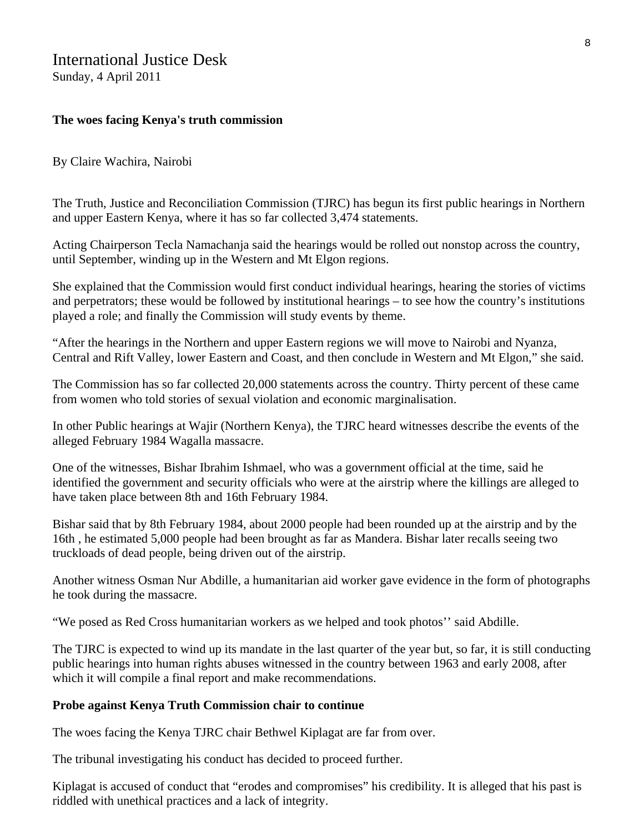# International Justice Desk

Sunday, 4 April 2011

## **The woes facing Kenya's truth commission**

By Claire Wachira, Nairobi

The Truth, Justice and Reconciliation Commission (TJRC) has begun its first public hearings in Northern and upper Eastern Kenya, where it has so far collected 3,474 statements.

Acting Chairperson Tecla Namachanja said the hearings would be rolled out nonstop across the country, until September, winding up in the Western and Mt Elgon regions.

She explained that the Commission would first conduct individual hearings, hearing the stories of victims and perpetrators; these would be followed by institutional hearings – to see how the country's institutions played a role; and finally the Commission will study events by theme.

"After the hearings in the Northern and upper Eastern regions we will move to Nairobi and Nyanza, Central and Rift Valley, lower Eastern and Coast, and then conclude in Western and Mt Elgon," she said.

The Commission has so far collected 20,000 statements across the country. Thirty percent of these came from women who told stories of sexual violation and economic marginalisation.

In other Public hearings at Wajir (Northern Kenya), the TJRC heard witnesses describe the events of the alleged February 1984 Wagalla massacre.

One of the witnesses, Bishar Ibrahim Ishmael, who was a government official at the time, said he identified the government and security officials who were at the airstrip where the killings are alleged to have taken place between 8th and 16th February 1984.

Bishar said that by 8th February 1984, about 2000 people had been rounded up at the airstrip and by the 16th , he estimated 5,000 people had been brought as far as Mandera. Bishar later recalls seeing two truckloads of dead people, being driven out of the airstrip.

Another witness Osman Nur Abdille, a humanitarian aid worker gave evidence in the form of photographs he took during the massacre.

"We posed as Red Cross humanitarian workers as we helped and took photos'' said Abdille.

The TJRC is expected to wind up its mandate in the last quarter of the year but, so far, it is still conducting public hearings into human rights abuses witnessed in the country between 1963 and early 2008, after which it will compile a final report and make recommendations.

## **Probe against Kenya Truth Commission chair to continue**

The woes facing the Kenya TJRC chair Bethwel Kiplagat are far from over.

The tribunal investigating his conduct has decided to proceed further.

Kiplagat is accused of conduct that "erodes and compromises" his credibility. It is alleged that his past is riddled with unethical practices and a lack of integrity.